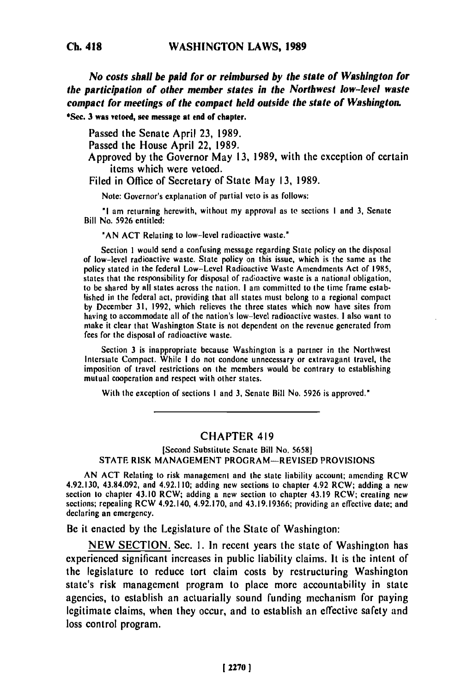**Ch. 418**

*No costs shall be paid for or reimbursed by the state of Washington for the participation of other member states in the Northwest low-level waste compact for meetings of the compact held outside the state of Washington.* **\*Sec. 3 was vetoed, see message at end of chapter.**

Passed the Senate April **23, 1989.**

Passed the House April 22, 1989.

Approved **by** the Governor May **13, 1989,** with the exception of certain items which were vetoed.

Filed in Office of Secretary of State May **13,** 1989.

Note: Governor's explanation of partial veto is as follows:

**"I** am returning herewith, without my approval as to sections **I** and **3,** Senate Bill No. 5926 entitled:

**'AN ACT** Relating to low-level radioactive waste."

Section 1 would send a confusing message regarding State policy on the disposal of low-level radioactive waste. State policy on this issue, which is the same as the policy stated in the federal Low-Level Radioactive Waste Amendments Act of 1985,<br>states that the responsibility for disposal of radioactive waste is a national obligation, to be shared **by all** states across the nation. **I** am committed to the time frame established in the federal act, providing that all states must belong to a regional compact **by** December **31, 1992,** which relieves the three states which now have sites from having to accommodate all of the nation's low-level radioactive wastes. **I** also want to maying to accommodate all of the nation's low-level radioactive wastes. I also want to make it clear that Washington State is not dependent on the revenue generated from fees for the disposal of radioactive waste.

Section **3** is inappropriate because Washington is a partner in the Northwest Interstate Compact. While **I** do not condone unnecessary or extravagant travel, the imersiate Compact. While I do not condone unnecessary or extravagant travel, the imposition of travel restrictions on the members would be contrary to establishing mutual cooperation and respect with other states.

With the exception of sections **I** and **3,** Senate Bill No. **5926** is approved."

## CHAPTER 419

## [Second Substitute Senate Bill No. **5658) STATE** RISK MANAGEMENT PROGRAM-REVISED PROVISIONS

AN **ACT** Relating to risk management and the state liability account; amending RCW 4.93.130, 43.94.002.130, 43.94.002.120, and 4.02.110; adding new sections to chapter 4.02 RCW; adding a new 4.92.150, 45.84.092, and 4.92.110; adding new sections to chapter 4.92 RCW; adding a new<br>continuum to chapter 43.10 RCW; adding a new section to chapter 43.10 RCW; see the c section to chapter 43.10 RCW; adding a new section to chapter 43.19 RCW; creating new sections; repealing RCW 4.92.140, 4.92.170, and 43.19.19366; providing an effective date; and declaring an emergency.

Be it enacted **by** the Legislature of the State of Washington:

**NEW SECTION.** Sec. **1.** In recent years the state of Washington has experienced significant increases in public liability claims. It is the intent of the legislature to reduce tort claim costs **by** restructuring Washington state's risk management program to place more accountability in state agencies, to establish an actuarially sound funding mechanism for paying legitimate claims, when they occur, and to establish an effective safety and loss control program.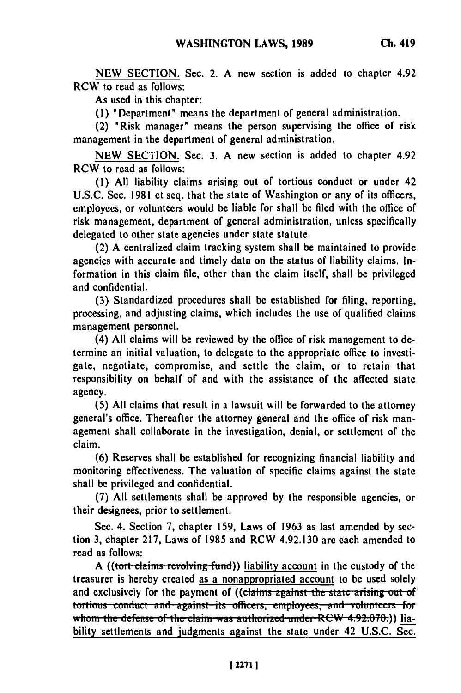**Ch. 419**

As used in this chapter:

**(1)** 'Department' means the department of general administration.

(2) \*Risk manager' means the person supervising the office of risk management in the department of general administration.

NEW SECTION. Sec. **3.** A new section is added to chapter 4.92 RCW to read as follows:

**(1)** All liability claims arising out of tortious conduct or under 42 **U.S.C.** Sec. 1981 et seq. that the state of Washington or any of its officers, employees, or volunteers would **be** liable for shall be filed with the office of risk management, department of general administration, unless specifically delegated to other state agencies under state statute.

(2) A centralized claim tracking system shall be maintained to provide agencies with accurate and timely data on the status of liability claims. Information in this claim file, other than the claim itself, shall be privileged and confidential.

**(3)** Standardized procedures shall be established for filing, reporting, processing, and adjusting claims, which includes the use of qualified claims management personnel.

(4) All claims will be reviewed **by** the office of risk management to determine an initial valuation, to delegate to the appropriate office to investigate, negotiate, compromise, and settle the claim, or to retain that responsibility on behalf of and with the assistance of the affected state agency.

**(5) All** claims that result in a lawsuit will be forwarded to the attorney general's office. Thereafter the attorney general and the office of risk management shall collaborate in the investigation, denial, or settlement of the claim.

(6) Reserves shall be established for recognizing financial liability and monitoring effectiveness. The valuation of specific claims against the state shall be privileged and confidential.

(7) **All** settlements shall be approved **by** the responsible agencies, or their designees, prior to settlement.

Sec. 4. Section 7, chapter 159, Laws of 1963 as last amended **by** section **3,** chapter **217,** Laws of 1985 and RCW 4.92.130 are each amended to read as follows:

A ((tort claims revolving fund)) liability account in the custody of the treasurer is hereby created as a nonappropriated account to be used solely and exclusively for the payment of ((claims against the state arising out of and exclusively for the payment of ((claims against the state arising out of tortious conduct and against its officers, employees, and volunteers for whom the defense of the claim was authorized under RCW 4.92.070.)) liability settlements and judgments against the state under 42 **U.S.C.** Sec.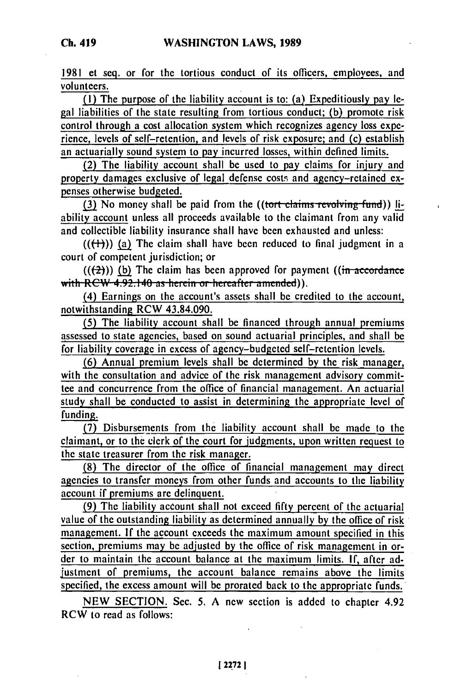**1981** et seq. or for the tortious conduct of its officers, employees, and volunteers.

**(I)** The purpose of the liability account is to: (a) Expeditiously pay legal liabilities of the state resulting from tortious conduct; **(b)** promote risk control through a cost allocation system which recognizes agency loss experience, levels **of** self-retention, and levels of risk exposure; and (c) establish an actuarially sound system to pay incurred losses, within defined limits.

(2) The liability account shall be used to pay claims for injury and property damages exclusive of legal defense costs and agency-retained expenses otherwise budgeted.

**(3) No money shall be paid from the** *((tort claims revolving fund))* **li**ability account unless all proceeds available to the claimant from any valid and collectible liability insurance shall have been exhausted and unless:

 $((+))$  (a) The claim shall have been reduced to final judgment in a court of competent jurisdiction; or

 $((2))$  (b) The claim has been approved for payment  $((\text{in } a \text{ecordance})$ **with RCW 4.92.140 as herein or hereafter amended)).** 

(4) Earnings on the account's assets shall **be** credited to the account, notwithstanding RCW 43.84.090.

(5) The liability account shall be financed through annual premiums assessed to state agencies, based on sound actuarial principles, and shall be for liability coverage in excess of agency-budgeted self-rectention levels.

**(6)** Annual premium levels shall be determined **by** the risk manager, with the consultation and advice of the risk management advisory committee and concurrence from the office of financial management. An actuarial study shall be conducted to assist in determining the appropriate level of funding.

**(7)** Disbursements from the liability account shall **be** made to the claimant, or to the clerk of the court for judgments, upon written request to the state treasurer from the risk manager.

**(8)** The director of the office of financial management may direct agencies to transfer moneys from other funds and accounts to the liability account if premiums **arc** delinquent.

(9) The liability account shall not exceed **fifty** percent of the actuarial value of the outstanding liability as determined annually **by** the office of risk management. **If** the account exceeds the maximum amount specified in this section, premiums may be adjusted **by** the office of risk management in order to maintain the account balance at the maximum limits. **If,** after adjustment of premiums, the account balance remains above the limits specified, the excess amount will **be** prorated back to the appropriate funds.

**NEW SECTION.** Sec. **5. A** new section is added to chapter 4.92 RCW to read as follows: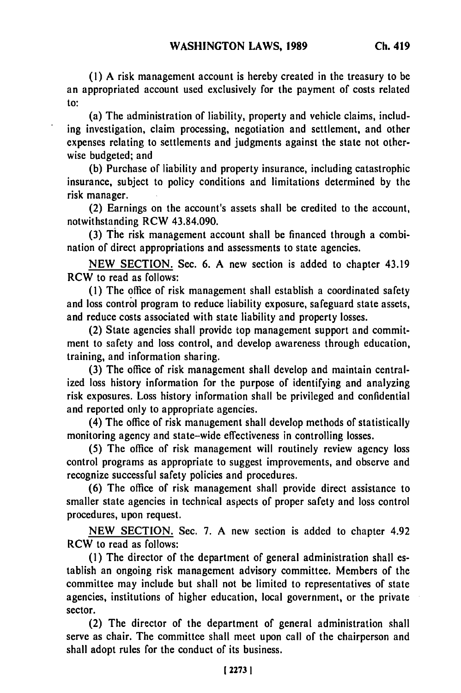**(1)** A risk management account is hereby created in the treasury to be an appropriated account used exclusively for the payment of costs related to:

(a) The administration of liability, property and vehicle claims, including investigation, claim processing, negotiation and settlement, and other expenses relating to settlements and judgments against the state not otherwise budgeted; and

(b) Purchase of liability and property insurance, including catastrophic insurance, subject to policy conditions and limitations determined by the risk manager.

(2) Earnings on the account's assets shall be credited to the account, notwithstanding RCW 43.84.090.

(3) The risk management account shall be financed through a combination of direct appropriations and assessments to state agencies.

NEW SECTION. Sec. 6. A new section is added to chapter 43.19 RCW to read as follows:

**(1)** The office of risk management shall establish a coordinated safety and loss control program to reduce liability exposure, safeguard state assets, and reduce costs associated with state liability and property losses.

(2) State agencies shall provide top management support and commitment to safety and loss control, and develop awareness through education, training, and information sharing.

(3) The office of risk management shall develop and maintain centralized loss history information for the purpose of identifying and analyzing risk exposures. Loss history information shall be privileged and confidential and reported only to appropriate agencies.

(4) The office of risk management shall develop methods of statistically monitoring agency and state-wide effectiveness in controlling losses.

(5) The office of risk management will routinely review agency loss control programs as appropriate to suggest improvements, and observe and recognize successful safety policies and procedures.

(6) The office of risk management shall provide direct assistance to smaller state agencies in technical aspects of proper safety and loss control procedures, upon request.

NEW SECTION. Sec. 7. A new section is added to chapter 4.92 RCW to read as follows:

**(1)** The director of the department of general administration shall establish an ongoing risk management advisory committee. Members of the committee may include but shall not be limited to representatives of state agencies, institutions of higher education, local government, or the private sector.

(2) The director of the department of general administration shall serve as chair. The committee shall meet upon call of the chairperson and shall adopt rules for the conduct of its business.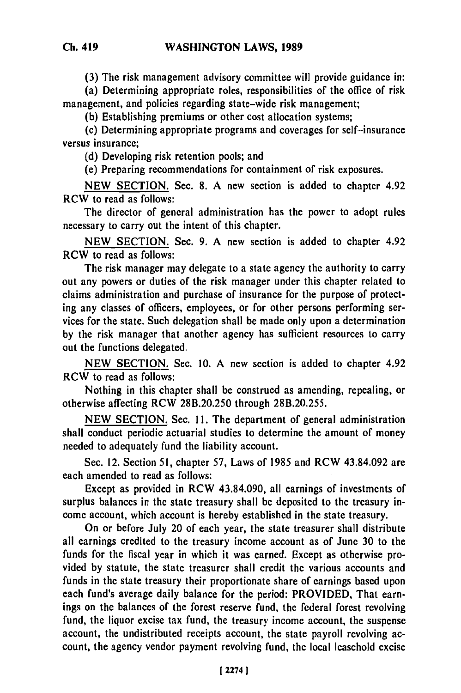**(3) The** risk management advisory committee will provide guidance in:

(a) Determining appropriate roles, responsibilities of the office of risk management, and policies regarding state-wide risk management;

**(b)** Establishing premiums or other cost allocation systems;

(c) Determining appropriate programs and coverages for self-insurance versus insurance;

**(d)** Developing risk retention pools; and

(e) Preparing recommendations for containment of risk exposures.

**NEW SECTION.** Sec. **8. A** new section is added to chapter 4.92 RCW to read as follows:

The director of general administration has the power to adopt rules necessary to carry out the intent of this chapter.

**NEW SECTION.** Sec. **9. A** new section is added to chapter 4.92 RCW to read as follows:

The risk manager may delegate to a state agency the authority to carry out any powers or duties of the risk manager under this chapter related to claims administration and purchase of insurance for the purpose of protecting any classes of officers, employees, or for other persons performing services for the state. Such delegation shall be made only upon a determination **by** the risk manager that another agency has sufficient resources to carry out the functions delegated.

**NEW SECTION.** Sec. **10. A** new section is added to chapter 4.92 RCW to read as follows:

Nothing in this chapter shall be construed as amending, repealing, or otherwise affecting RCW **281.20.250** through **281.20.255.**

**NEW SECTION.** Sec. **11.** The department of general administration shall conduct periodic actuarial studies to determine the amount of money needed to adequately fund the liability account.

Sec. 12. Section **51,** chapter **57,** Laws of **1985** and RCW 43.84.092 are each amended to read as follows:

Except as provided in RCW 43.84.090, all earnings of investments of surplus balances in the state treasury shall be deposited to the treasury income account, which account is hereby established in the state treasury.

On or before July 20 of each year, the state treasurer shall distribute all earnings credited to the treasury income account as of June **30** to the funds for the fiscal year in which it was earned. Except as otherwise provided **by** statute, the state treasurer shall credit the various accounts and funds in the state treasury their proportionate share of earnings based upon each fund's average daily balance for the period: PROVIDED, That earnings on the balances of the forest reserve fund, the federal forest revolving fund, the liquor excise tax fund, the treasury income account, the suspense account, the undistributed receipts account, the state payroll revolving account, the agency vendor payment revolving fund, the local leasehold excise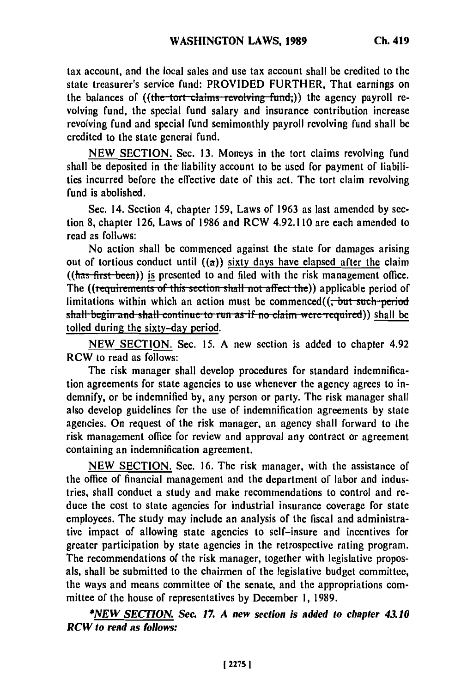tax account, and the local sales and use tax account shall be credited to the state treasurer's service fund: PROVIDED FURTHER, That earnings on the balances of ((the tort claims revolving fund;)) the agency payroll revolving fund, the special fund salary and insurance contribution increase revolving fund and special fund semimonthly payroll revolving fund shall be credited to the state general fund.

**NEW** SECTION. Sec. **13.** Moneys in the tort claims revolving fund shall be deposited in the liability account to be used for payment of liabilities incurred before the effective date of this act. The tort claim revolving fund is abolished.

Sec. 14. Section 4, chapter 159, Laws of **1963** as last amended **by** section **8,** chapter 126, Laws of 1986 and RCW 4.92.110 are each amended to read as folluws:

No action shall be commenced against the state for damages arising out of tortious conduct until  $(\alpha)$  sixty days have elapsed after the claim **((has-first-been))** is presented to and filed with the risk management office. The ((requirements of this section shall not affect the)) applicable period of limitations within which an action must be commenced $(($ . but such period shall begin and shall continue to run as if no claim were required)) shall be tolled during the sixty-day period.

**NEW SECTION.** Sec. **15. A** new section is added to chapter 4.92 RCW to read as follows:

The risk manager shall develop procedures for standard indemnification agreements for state agencies to use whenever the agency agrees to indemnify, or be indemnified **by,** any person or party. The risk manager shall also develop guidelines for the use of indemnification agreements by state agencies. On request of the risk manager, an agency shall forward to the risk management office for review and approval any contract or agreement containing an indemnification agreement.

NEW SECTION. Sec. 16. The risk manager, with the assistance of the office of financial management and the department of labor and industries, shall conduct a study and make recommendations to control and reduce the cost to state agencies for industrial insurance coverage for state employees. The study may include an analysis of the fiscal and administrative impact of allowing state agencies to self-insure and incentives for greater participation **by** state agencies in the retrospective rating program. The recommendations of the risk manager, together with legislative proposals, shall be submitted to the chairmen of the legislative budget committee, the ways and means committee of the senate, and the appropriations committee of the house of representatives **by** December **1, 1989.**

*\*NEW SECTION. Sec. 17. A new section is added to chapter 43.10* **RCW** *to read as follows:*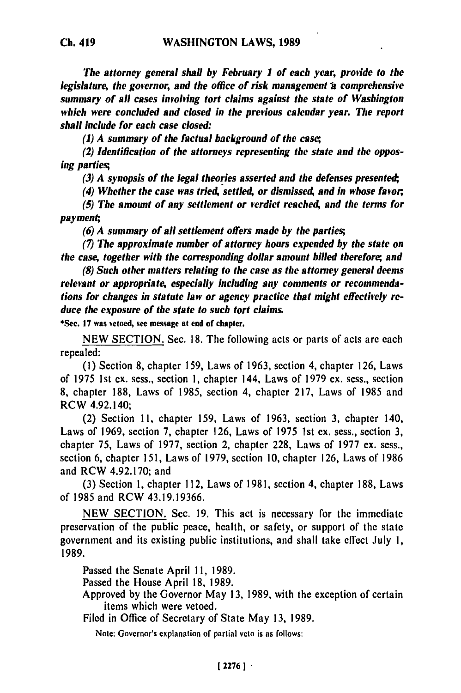*The attorney general shall by February I of each year, provide to the legislature, the governor, and the office of risk management a comprehensive summary of all cases involving tort claims against the state of Washington which were concluded and closed in the previous calendar year. The report shall include for each case closed:*

*(1) A summary of the factual background of the case;*

*(2) Identification of the attorneys representing the state and the opposing parties;*

*(3) A synopsis of the legal theories asserted and the defenses presented,*

*(4) Whether the case was tried, settled, or dismissed, and in whose favor,*

*(5) The amount of any settlement or verdict reached, and the terms for payment;,*

*(6) A summary of all settlement offers made by the parties;*

**(7)** *The approximate number of attorney hours expended by the state on the case, together with the corresponding dollar amount billed therefore; and*

*(8) Such other matters relating to the case as the attorney general deems relevant or appropriate, especially including any comments or recommendations for changes in statute law or agency practice that might effectively reduce the exposure of the state to such tort claims.*

\*Sec. **17** was vetoed, see message at end of chapter.

**NEW** SECTION. Sec. **18.** The following acts or parts of acts are each repealed:

(1) Section 8, chapter 159, Laws of 1963, section 4, chapter 126, Laws of 1975 1st ex. sess., section 1, chapter 144, Laws of **1979 ex.** sess., section 8, chapter 188, Laws of 1985, section 4, chapter 217, Laws of 1985 and RCW 4.92.140;

(2) Section 11, chapter 159, Laws of **1963,** section 3, chapter 140, Laws of 1969, section 7, chapter 126, Laws of 1975 1st ex. sess., section 3, chapter 75, Laws of 1977, section 2, chapter 228, Laws of **1977** ex. sess., section 6, chapter 151, Laws of 1979, section **10,** chapter 126, Laws of 1986 and RCW 4.92.170; and

**(3)** Section 1, chapter 112, Laws of 1981, section 4, chapter 188, Laws of 1985 and RCW 43.19.19366.

NEW SECTION. Sec. **19.** This act is necessary for the immediate preservation of the public peace, health, or safety, or support of the state government and its existing public institutions, and shall take effect July **1,** 1989.

Passed the Senate April 11, 1989.

Passed the House April 18, 1989.

Approved by the Governor May 13, **1989,** with the exception of certain items which were vetoed.

Filed in Office of Secretary of State May **13,** 1989.

Notc: Governor's explanation **of** partial veto is as follows: